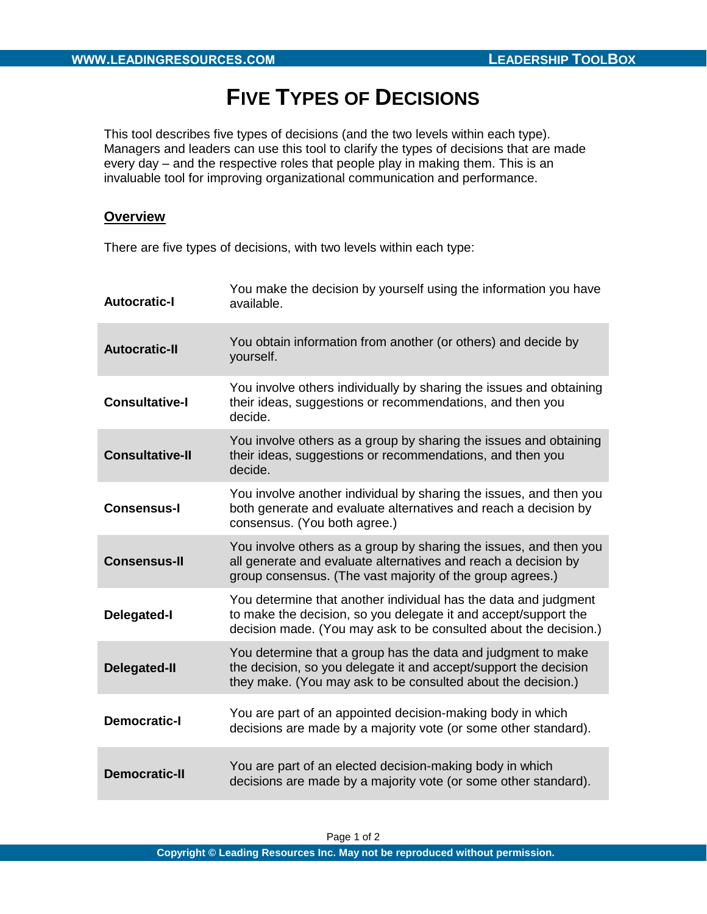## **FIVE TYPES OF DECISIONS**

This tool describes five types of decisions (and the two levels within each type). Managers and leaders can use this tool to clarify the types of decisions that are made every day – and the respective roles that people play in making them. This is an invaluable tool for improving organizational communication and performance.

## **Overview**

There are five types of decisions, with two levels within each type:

| <b>Autocratic-I</b>    | You make the decision by yourself using the information you have<br>available.                                                                                                                         |
|------------------------|--------------------------------------------------------------------------------------------------------------------------------------------------------------------------------------------------------|
| <b>Autocratic-II</b>   | You obtain information from another (or others) and decide by<br>yourself.                                                                                                                             |
| <b>Consultative-I</b>  | You involve others individually by sharing the issues and obtaining<br>their ideas, suggestions or recommendations, and then you<br>decide.                                                            |
| <b>Consultative-II</b> | You involve others as a group by sharing the issues and obtaining<br>their ideas, suggestions or recommendations, and then you<br>decide.                                                              |
| <b>Consensus-I</b>     | You involve another individual by sharing the issues, and then you<br>both generate and evaluate alternatives and reach a decision by<br>consensus. (You both agree.)                                  |
| <b>Consensus-II</b>    | You involve others as a group by sharing the issues, and then you<br>all generate and evaluate alternatives and reach a decision by<br>group consensus. (The vast majority of the group agrees.)       |
| Delegated-I            | You determine that another individual has the data and judgment<br>to make the decision, so you delegate it and accept/support the<br>decision made. (You may ask to be consulted about the decision.) |
| <b>Delegated-II</b>    | You determine that a group has the data and judgment to make<br>the decision, so you delegate it and accept/support the decision<br>they make. (You may ask to be consulted about the decision.)       |
| <b>Democratic-I</b>    | You are part of an appointed decision-making body in which<br>decisions are made by a majority vote (or some other standard).                                                                          |
| <b>Democratic-II</b>   | You are part of an elected decision-making body in which<br>decisions are made by a majority vote (or some other standard).                                                                            |